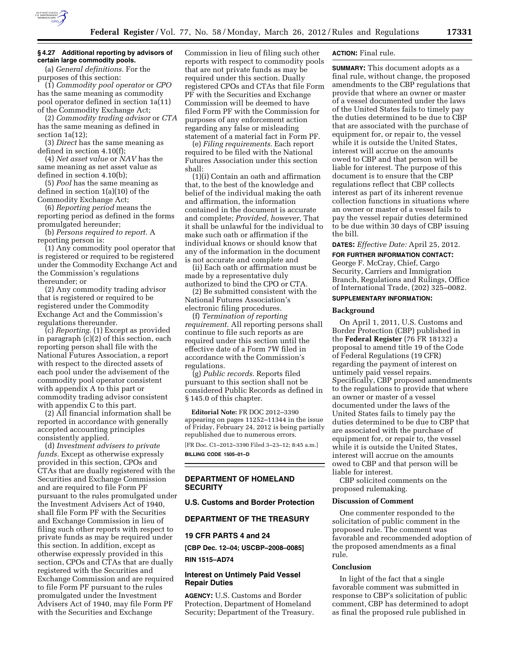

## **§ 4.27 Additional reporting by advisors of certain large commodity pools.**

(a) *General definitions.* For the purposes of this section:

(1) *Commodity pool operator* or *CPO*  has the same meaning as commodity pool operator defined in section 1a(11) of the Commodity Exchange Act;

(2) *Commodity trading advisor* or *CTA*  has the same meaning as defined in section 1a(12);

(3) *Direct* has the same meaning as defined in section 4.10(f);

(4) *Net asset value* or *NAV* has the same meaning as net asset value as defined in section 4.10(b);

(5) *Pool* has the same meaning as defined in section 1(a)(10) of the Commodity Exchange Act;

(6) *Reporting period* means the reporting period as defined in the forms promulgated hereunder;

(b) *Persons required to report.* A reporting person is:

(1) Any commodity pool operator that is registered or required to be registered under the Commodity Exchange Act and the Commission's regulations thereunder; or

(2) Any commodity trading advisor that is registered or required to be registered under the Commodity Exchange Act and the Commission's regulations thereunder.

(c) *Reporting.* (1) Except as provided in paragraph (c)(2) of this section, each reporting person shall file with the National Futures Association, a report with respect to the directed assets of each pool under the advisement of the commodity pool operator consistent with appendix A to this part or commodity trading advisor consistent with appendix C to this part.

(2) All financial information shall be reported in accordance with generally accepted accounting principles consistently applied.

(d) *Investment advisers to private funds.* Except as otherwise expressly provided in this section, CPOs and CTAs that are dually registered with the Securities and Exchange Commission and are required to file Form PF pursuant to the rules promulgated under the Investment Advisers Act of 1940, shall file Form PF with the Securities and Exchange Commission in lieu of filing such other reports with respect to private funds as may be required under this section. In addition, except as otherwise expressly provided in this section, CPOs and CTAs that are dually registered with the Securities and Exchange Commission and are required to file Form PF pursuant to the rules promulgated under the Investment Advisers Act of 1940, may file Form PF with the Securities and Exchange

Commission in lieu of filing such other reports with respect to commodity pools that are not private funds as may be required under this section. Dually registered CPOs and CTAs that file Form PF with the Securities and Exchange Commission will be deemed to have filed Form PF with the Commission for purposes of any enforcement action regarding any false or misleading statement of a material fact in Form PF.

(e) *Filing requirements.* Each report required to be filed with the National Futures Association under this section shall:

(1)(i) Contain an oath and affirmation that, to the best of the knowledge and belief of the individual making the oath and affirmation, the information contained in the document is accurate and complete; *Provided, however,* That it shall be unlawful for the individual to make such oath or affirmation if the individual knows or should know that any of the information in the document is not accurate and complete and

(ii) Each oath or affirmation must be made by a representative duly authorized to bind the CPO or CTA.

(2) Be submitted consistent with the National Futures Association's electronic filing procedures.

(f) *Termination of reporting requirement.* All reporting persons shall continue to file such reports as are required under this section until the effective date of a Form 7W filed in accordance with the Commission's regulations.

(g) *Public records.* Reports filed pursuant to this section shall not be considered Public Records as defined in § 145.0 of this chapter.

**Editorial Note:** FR DOC 2012–3390 appearing on pages 11252–11344 in the issue of Friday, February 24, 2012 is being partially republished due to numerous errors.

[FR Doc. C1–2012–3390 Filed 3–23–12; 8:45 a.m.] **BILLING CODE 1505–01–D** 

# **DEPARTMENT OF HOMELAND SECURITY**

### **U.S. Customs and Border Protection**

## **DEPARTMENT OF THE TREASURY**

# **19 CFR PARTS 4 and 24**

**[CBP Dec. 12–04; USCBP–2008–0085] RIN 1515–AD74** 

## **Interest on Untimely Paid Vessel Repair Duties**

**AGENCY:** U.S. Customs and Border Protection, Department of Homeland Security; Department of the Treasury.

## **ACTION:** Final rule.

**SUMMARY:** This document adopts as a final rule, without change, the proposed amendments to the CBP regulations that provide that where an owner or master of a vessel documented under the laws of the United States fails to timely pay the duties determined to be due to CBP that are associated with the purchase of equipment for, or repair to, the vessel while it is outside the United States, interest will accrue on the amounts owed to CBP and that person will be liable for interest. The purpose of this document is to ensure that the CBP regulations reflect that CBP collects interest as part of its inherent revenue collection functions in situations where an owner or master of a vessel fails to pay the vessel repair duties determined to be due within 30 days of CBP issuing the bill.

**DATES:** *Effective Date:* April 25, 2012.

# **FOR FURTHER INFORMATION CONTACT:**

George F. McCray, Chief, Cargo Security, Carriers and Immigration Branch, Regulations and Rulings, Office of International Trade, (202) 325–0082.

# **SUPPLEMENTARY INFORMATION:**

### **Background**

On April 1, 2011, U.S. Customs and Border Protection (CBP) published in the **Federal Register** (76 FR 18132) a proposal to amend title 19 of the Code of Federal Regulations (19 CFR) regarding the payment of interest on untimely paid vessel repairs. Specifically, CBP proposed amendments to the regulations to provide that where an owner or master of a vessel documented under the laws of the United States fails to timely pay the duties determined to be due to CBP that are associated with the purchase of equipment for, or repair to, the vessel while it is outside the United States, interest will accrue on the amounts owed to CBP and that person will be liable for interest.

CBP solicited comments on the proposed rulemaking.

### **Discussion of Comment**

One commenter responded to the solicitation of public comment in the proposed rule. The comment was favorable and recommended adoption of the proposed amendments as a final rule.

# **Conclusion**

In light of the fact that a single favorable comment was submitted in response to CBP's solicitation of public comment, CBP has determined to adopt as final the proposed rule published in